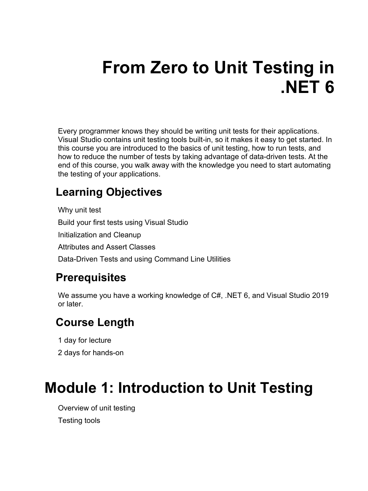# **From Zero to Unit Testing in .NET 6**

Every programmer knows they should be writing unit tests for their applications. Visual Studio contains unit testing tools built-in, so it makes it easy to get started. In this course you are introduced to the basics of unit testing, how to run tests, and how to reduce the number of tests by taking advantage of data-driven tests. At the end of this course, you walk away with the knowledge you need to start automating the testing of your applications.

#### **Learning Objectives**

Why unit test Build your first tests using Visual Studio Initialization and Cleanup Attributes and Assert Classes Data-Driven Tests and using Command Line Utilities

#### **Prerequisites**

We assume you have a working knowledge of C#, .NET 6, and Visual Studio 2019 or later.

#### **Course Length**

1 day for lecture

2 days for hands-on

#### **Module 1: Introduction to Unit Testing**

Overview of unit testing Testing tools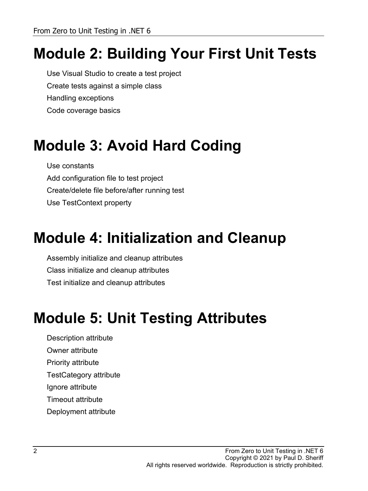# **Module 2: Building Your First Unit Tests**

Use Visual Studio to create a test project Create tests against a simple class Handling exceptions Code coverage basics

### **Module 3: Avoid Hard Coding**

Use constants Add configuration file to test project Create/delete file before/after running test Use TestContext property

#### **Module 4: Initialization and Cleanup**

Assembly initialize and cleanup attributes Class initialize and cleanup attributes Test initialize and cleanup attributes

#### **Module 5: Unit Testing Attributes**

Description attribute

Owner attribute

Priority attribute

TestCategory attribute

Ignore attribute

Timeout attribute

Deployment attribute